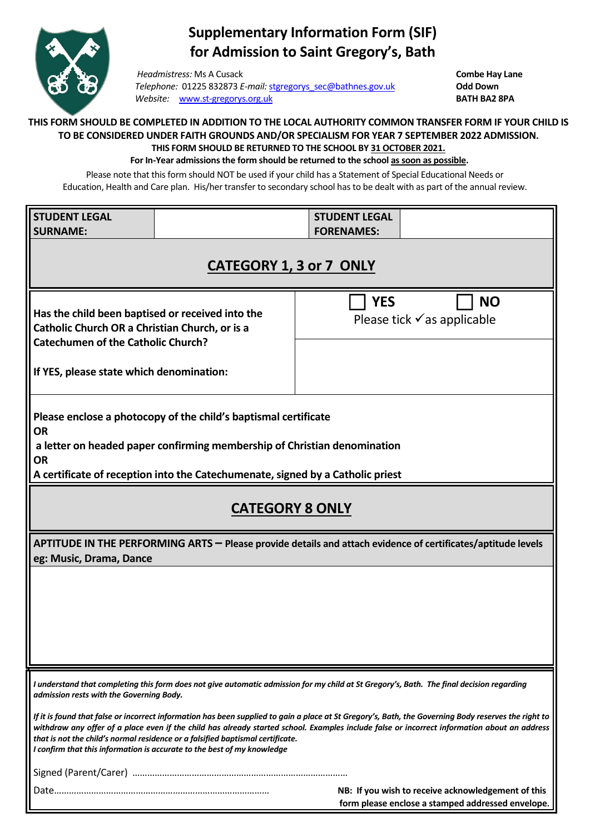

## **Supplementary Information Form (SIF) for Admission to Saint Gregory's, Bath**

*Headmistress:* Ms A Cusack **Combe Hay Lane** *Telephone:* 01225 832873 *E-mail:* [stgregorys\\_sec@bathnes.gov.uk](mailto:stgregorys_sec@bathnes.gov.uk) **Odd Down Website:** [www.st-gregorys.org.uk](http://www.st-gregorys.org.uk/) **BATH BA2 8PA** 

## **THIS FORM SHOULD BE COMPLETED IN ADDITION TO THE LOCAL AUTHORITY COMMON TRANSFER FORM IF YOUR CHILD IS TO BE CONSIDERED UNDER FAITH GROUNDS AND/OR SPECIALISM FOR YEAR 7 SEPTEMBER 2022 ADMISSION. THIS FORM SHOULD BE RETURNED TO THE SCHOOL BY 31 OCTOBER 2021.**

**For In-Year admissions the form should be returned to the school as soon as possible.**

Please note that this form should NOT be used if your child has a Statement of Special Educational Needs or Education, Health and Care plan. His/her transfer to secondary school has to be dealt with as part of the annual review.

| <b>STUDENT LEGAL</b>                                                                                                                                                                                                                                                                                                                                                                                                                                              |  | <b>STUDENT LEGAL</b><br><b>FORENAMES:</b>                                                               |
|-------------------------------------------------------------------------------------------------------------------------------------------------------------------------------------------------------------------------------------------------------------------------------------------------------------------------------------------------------------------------------------------------------------------------------------------------------------------|--|---------------------------------------------------------------------------------------------------------|
| <b>SURNAME:</b>                                                                                                                                                                                                                                                                                                                                                                                                                                                   |  |                                                                                                         |
| <b>CATEGORY 1, 3 or 7 ONLY</b>                                                                                                                                                                                                                                                                                                                                                                                                                                    |  |                                                                                                         |
| Has the child been baptised or received into the<br>Catholic Church OR a Christian Church, or is a<br><b>Catechumen of the Catholic Church?</b>                                                                                                                                                                                                                                                                                                                   |  | <b>YES</b><br><b>NO</b><br>Please tick $\checkmark$ as applicable                                       |
| If YES, please state which denomination:                                                                                                                                                                                                                                                                                                                                                                                                                          |  |                                                                                                         |
| Please enclose a photocopy of the child's baptismal certificate<br><b>OR</b><br>a letter on headed paper confirming membership of Christian denomination<br><b>OR</b><br>A certificate of reception into the Catechumenate, signed by a Catholic priest                                                                                                                                                                                                           |  |                                                                                                         |
|                                                                                                                                                                                                                                                                                                                                                                                                                                                                   |  |                                                                                                         |
| <b>CATEGORY 8 ONLY</b>                                                                                                                                                                                                                                                                                                                                                                                                                                            |  |                                                                                                         |
| APTITUDE IN THE PERFORMING ARTS - Please provide details and attach evidence of certificates/aptitude levels<br>eg: Music, Drama, Dance                                                                                                                                                                                                                                                                                                                           |  |                                                                                                         |
|                                                                                                                                                                                                                                                                                                                                                                                                                                                                   |  |                                                                                                         |
|                                                                                                                                                                                                                                                                                                                                                                                                                                                                   |  |                                                                                                         |
|                                                                                                                                                                                                                                                                                                                                                                                                                                                                   |  |                                                                                                         |
|                                                                                                                                                                                                                                                                                                                                                                                                                                                                   |  |                                                                                                         |
|                                                                                                                                                                                                                                                                                                                                                                                                                                                                   |  |                                                                                                         |
| I understand that completing this form does not give automatic admission for my child at St Gregory's, Bath. The final decision regarding<br>admission rests with the Governing Body.                                                                                                                                                                                                                                                                             |  |                                                                                                         |
| If it is found that false or incorrect information has been supplied to gain a place at St Gregory's, Bath, the Governing Body reserves the right to<br>withdraw any offer of a place even if the child has already started school. Examples include false or incorrect information about an address<br>that is not the child's normal residence or a falsified baptismal certificate.<br>I confirm that this information is accurate to the best of my knowledge |  |                                                                                                         |
|                                                                                                                                                                                                                                                                                                                                                                                                                                                                   |  |                                                                                                         |
|                                                                                                                                                                                                                                                                                                                                                                                                                                                                   |  | NB: If you wish to receive acknowledgement of this<br>form please enclose a stamped addressed envelope. |